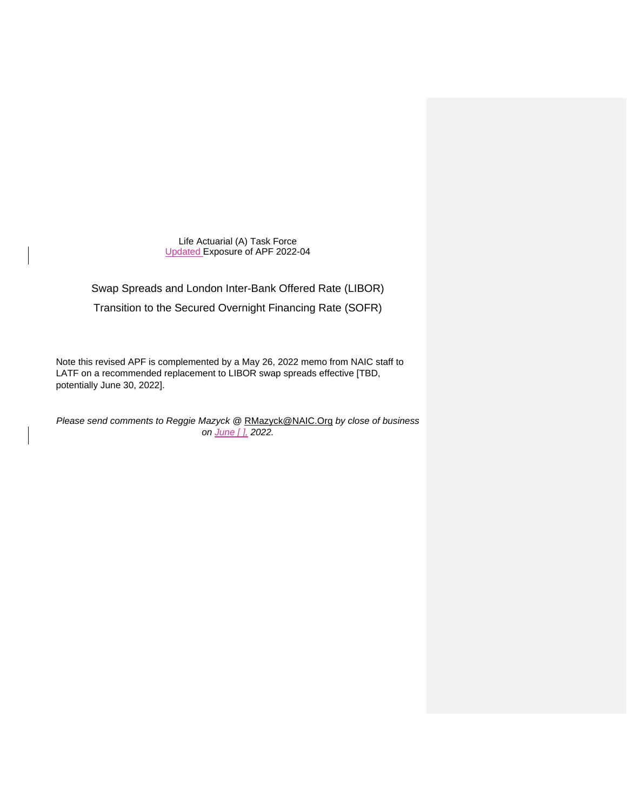Life Actuarial (A) Task Force Updated Exposure of APF 2022-04

Swap Spreads and London Inter-Bank Offered Rate (LIBOR)

Transition to the Secured Overnight Financing Rate (SOFR)

Note this revised APF is complemented by a May 26, 2022 memo from NAIC staff to LATF on a recommended replacement to LIBOR swap spreads effective [TBD, potentially June 30, 2022].

*Please send comments to [Reggie Mazyck](mailto:rmazyck@naic.org) @* [RMazyck@NAIC.Org](mailto:RMazyck@NAIC.Org) *by close of business on June [ ], 2022.*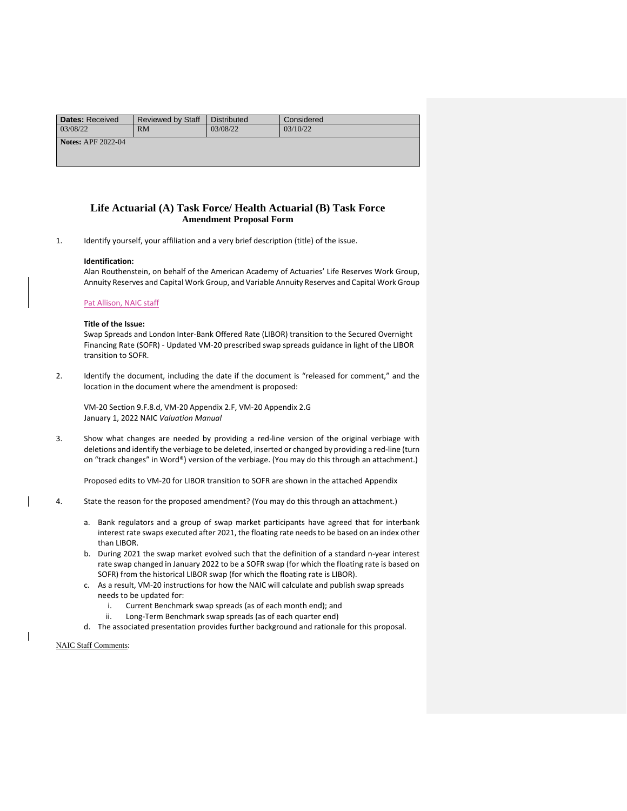| <b>Dates: Received</b>    | <b>Reviewed by Staff</b> | <b>Distributed</b> | Considered |
|---------------------------|--------------------------|--------------------|------------|
| 03/08/22                  | <b>RM</b>                | 03/08/22           | 03/10/22   |
| <b>Notes: APF 2022-04</b> |                          |                    |            |
|                           |                          |                    |            |

## **Life Actuarial (A) Task Force/ Health Actuarial (B) Task Force Amendment Proposal Form**

1. Identify yourself, your affiliation and a very brief description (title) of the issue.

### **Identification:**

Alan Routhenstein, on behalf of the American Academy of Actuaries' Life Reserves Work Group, Annuity Reserves and Capital Work Group, and Variable Annuity Reserves and Capital Work Group

### Pat Allison, NAIC staff

#### **Title of the Issue:**

Swap Spreads and London Inter-Bank Offered Rate (LIBOR) transition to the Secured Overnight Financing Rate (SOFR) - Updated VM-20 prescribed swap spreads guidance in light of the LIBOR transition to SOFR.

2. Identify the document, including the date if the document is "released for comment," and the location in the document where the amendment is proposed:

VM-20 Section 9.F.8.d, VM-20 Appendix 2.F, VM-20 Appendix 2.G January 1, 2022 NAIC *Valuation Manual*

3. Show what changes are needed by providing a red-line version of the original verbiage with deletions and identify the verbiage to be deleted, inserted or changed by providing a red-line (turn on "track changes" in Word®) version of the verbiage. (You may do this through an attachment.)

Proposed edits to VM-20 for LIBOR transition to SOFR are shown in the attached Appendix

- 4. State the reason for the proposed amendment? (You may do this through an attachment.)
	- a. Bank regulators and a group of swap market participants have agreed that for interbank interest rate swaps executed after 2021, the floating rate needs to be based on an index other than LIBOR.
	- b. During 2021 the swap market evolved such that the definition of a standard n-year interest rate swap changed in January 2022 to be a SOFR swap (for which the floating rate is based on SOFR) from the historical LIBOR swap (for which the floating rate is LIBOR).
	- c. As a result, VM-20 instructions for how the NAIC will calculate and publish swap spreads needs to be updated for:
		- i. Current Benchmark swap spreads (as of each month end); and
		- ii. Long-Term Benchmark swap spreads (as of each quarter end)
	- d. The associated presentation provides further background and rationale for this proposal.

#### NAIC Staff Comments: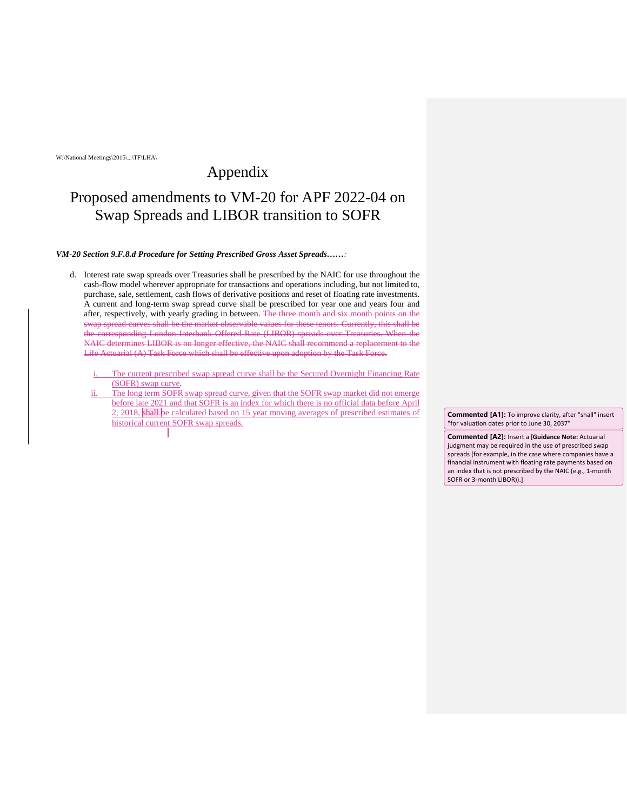W:\National Meetings\2015\...\TF\LHA\

# Appendix

# Proposed amendments to VM-20 for APF 2022-04 on Swap Spreads and LIBOR transition to SOFR

## *VM-20 Section 9.F.8.d Procedure for Setting Prescribed Gross Asset Spreads……:*

- d. Interest rate swap spreads over Treasuries shall be prescribed by the NAIC for use throughout the cash-flow model wherever appropriate for transactions and operations including, but not limited to, purchase, sale, settlement, cash flows of derivative positions and reset of floating rate investments. A current and long-term swap spread curve shall be prescribed for year one and years four and after, respectively, with yearly grading in between. The three month and six month points on the swap spread curves shall be the market observable values for these tenors. Currently, this shall be the corresponding London Interbank Offered Rate (LIBOR) spreads over Treasuries. When the NAIC determines LIBOR is no longer effective, the NAIC shall recommend a replacement to the Life Actuarial (A) Task Force which shall be effective upon adoption by the Task Force.
	- The current prescribed swap spread curve shall be the Secured Overnight Financing Rate (SOFR) swap curve.
	- The long term SOFR swap spread curve, given that the SOFR swap market did not emerge before late 2021 and that SOFR is an index for which there is no official data before April 2, 2018, shall be calculated based on 15 year moving averages of prescribed estimates of **Commented [A1]:** To improve clarity, after "shall" insert historical current SOFR swap spreads.

"for valuation dates prior to June 30, 2037"

**Commented [A2]:** Insert a [**Guidance Note:** Actuarial judgment may be required in the use of prescribed swap spreads (for example, in the case where companies have a financial instrument with floating rate payments based on an index that is not prescribed by the NAIC (e.g., 1-month SOFR or 3-month LIBOR)).]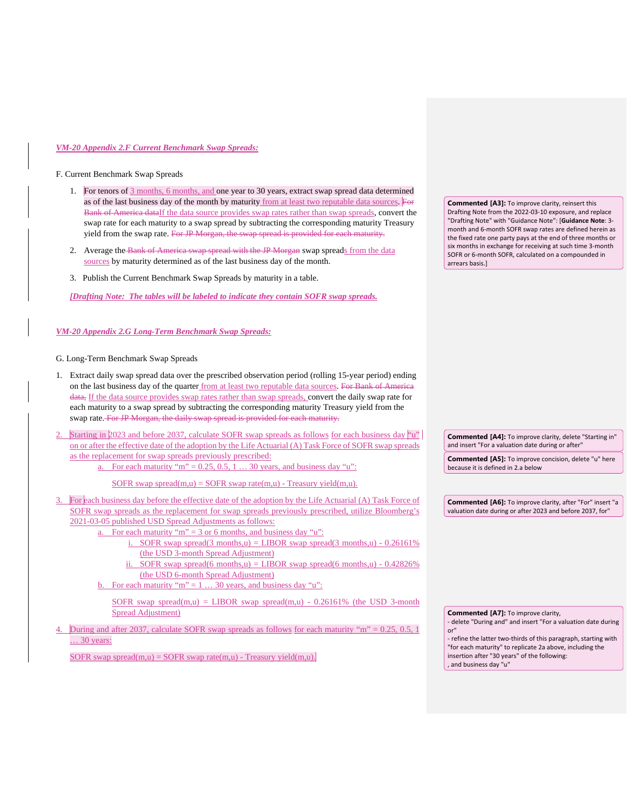### *VM-20 Appendix 2.F Current Benchmark Swap Spreads:*

F. Current Benchmark Swap Spreads

- 1. For tenors of 3 months, 6 months, and one year to 30 years, extract swap spread data determined as of the last business day of the month by maturity from at least two reputable data sources. For Bank of America dataIf the data source provides swap rates rather than swap spreads, convert the swap rate for each maturity to a swap spread by subtracting the corresponding maturity Treasury yield from the swap rate. For JP Morgan, the swap spread is provided for each maturity.
- 2. Average the Bank of America swap spread with the JP Morgan swap spreads from the data sources by maturity determined as of the last business day of the month.
- 3. Publish the Current Benchmark Swap Spreads by maturity in a table.

*[Drafting Note: The tables will be labeled to indicate they contain SOFR swap spreads.* 

### *VM-20 Appendix 2.G Long-Term Benchmark Swap Spreads:*

G. Long-Term Benchmark Swap Spreads

- 1. Extract daily swap spread data over the prescribed observation period (rolling 15-year period) ending on the last business day of the quarter from at least two reputable data sources. For Bank of America data, If the data source provides swap rates rather than swap spreads, convert the daily swap rate for each maturity to a swap spread by subtracting the corresponding maturity Treasury yield from the swap rate. For JP Morgan, the daily swap spread is provided for each maturity.
- Starting in 2023 and before 2037, calculate SOFR swap spreads as follows for each business day "u" on or after the effective date of the adoption by the Life Actuarial (A) Task Force of SOFR swap spreads as the replacement for swap spreads previously prescribed:
	- a. For each maturity "m" =  $0.25, 0.5, 1$  ... 30 years, and business day "u":

SOFR swap spread(m,u) = SOFR swap rate(m,u) - Treasury yield(m,u).

- 3. For each business day before the effective date of the adoption by the Life Actuarial (A) Task Force of SOFR swap spreads as the replacement for swap spreads previously prescribed, utilize Bloomberg's 2021-03-05 published USD Spread Adjustments as follows:
	- a. For each maturity "m"  $=$  3 or 6 months, and business day "u":
		- i. SOFR swap spread(3 months,u) = LIBOR swap spread(3 months,u)  $0.26161\%$ (the USD 3-month Spread Adjustment)
		- ii. SOFR swap spread(6 months,u) = LIBOR swap spread(6 months,u)  $0.42826\%$ (the USD 6-month Spread Adjustment)
	- For each maturity "m" =  $1 \dots 30$  years, and business day "u":

SOFR swap spread(m,u) = LIBOR swap spread(m,u) -  $0.26161\%$  (the USD 3-month Spread Adjustment)

During and after 2037, calculate SOFR swap spreads as follows for each maturity "m" =  $0.25$ ,  $0.5$ , 1 … 30 years:

SOFR swap spread $(m,u)$  = SOFR swap rate $(m,u)$  - Treasury yield $(m,u)$ .

**Commented [A3]:** To improve clarity, reinsert this Drafting Note from the 2022-03-10 exposure, and replace "Drafting Note" with "Guidance Note": [**Guidance Note**: 3 month and 6-month SOFR swap rates are defined herein as the fixed rate one party pays at the end of three months or six months in exchange for receiving at such time 3-month SOFR or 6-month SOFR, calculated on a compounded in arrears basis.]

**Commented [A4]:** To improve clarity, delete "Starting in" and insert "For a valuation date during or after"

**Commented [A5]:** To improve concision, delete "u" here because it is defined in 2.a below

**Commented [A6]:** To improve clarity, after "For" insert "a valuation date during or after 2023 and before 2037, for"

**Commented [A7]:** To improve clarity, - delete "During and" and insert "For a valuation date during or"

- refine the latter two-thirds of this paragraph, starting with "for each maturity" to replicate 2a above, including the insertion after "30 years" of the following: , and business day "u"